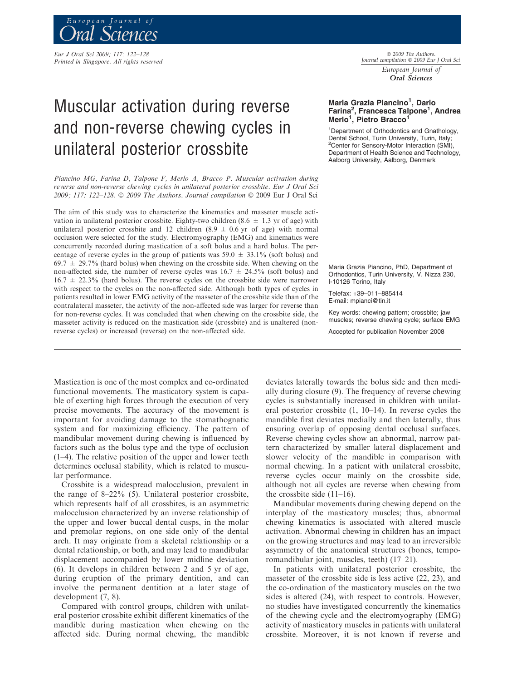## Eur J Oral Sci 2009; 117: 122–128

Printed in Singapore. All rights reserved

# Muscular activation during reverse and non-reverse chewing cycles in unilateral posterior crossbite

Piancino MG, Farina D, Talpone F, Merlo A, Bracco P. Muscular activation during reverse and non-reverse chewing cycles in unilateral posterior crossbite. Eur J Oral Sci 2009; 117: 122–128. © 2009 The Authors. Journal compilation © 2009 Eur J Oral Sci

The aim of this study was to characterize the kinematics and masseter muscle activation in unilateral posterior crossbite. Eighty-two children (8.6  $\pm$  1.3 yr of age) with unilateral posterior crossbite and 12 children (8.9  $\pm$  0.6 yr of age) with normal occlusion were selected for the study. Electromyography (EMG) and kinematics were concurrently recorded during mastication of a soft bolus and a hard bolus. The percentage of reverse cycles in the group of patients was  $59.0 \pm 33.1\%$  (soft bolus) and  $69.7 \pm 29.7\%$  (hard bolus) when chewing on the crossbite side. When chewing on the non-affected side, the number of reverse cycles was  $16.7 \pm 24.5\%$  (soft bolus) and  $16.7 \pm 22.3\%$  (hard bolus). The reverse cycles on the crossbite side were narrower with respect to the cycles on the non-affected side. Although both types of cycles in patients resulted in lower EMG activity of the masseter of the crossbite side than of the contralateral masseter, the activity of the non-affected side was larger for reverse than for non-reverse cycles. It was concluded that when chewing on the crossbite side, the masseter activity is reduced on the mastication side (crossbite) and is unaltered (nonreverse cycles) or increased (reverse) on the non-affected side.

Mastication is one of the most complex and co-ordinated functional movements. The masticatory system is capable of exerting high forces through the execution of very precise movements. The accuracy of the movement is important for avoiding damage to the stomathognatic system and for maximizing efficiency. The pattern of mandibular movement during chewing is influenced by factors such as the bolus type and the type of occlusion (1–4). The relative position of the upper and lower teeth determines occlusal stability, which is related to muscular performance.

Crossbite is a widespread malocclusion, prevalent in the range of 8–22% (5). Unilateral posterior crossbite, which represents half of all crossbites, is an asymmetric malocclusion characterized by an inverse relationship of the upper and lower buccal dental cusps, in the molar and premolar regions, on one side only of the dental arch. It may originate from a skeletal relationship or a dental relationship, or both, and may lead to mandibular displacement accompanied by lower midline deviation (6). It develops in children between 2 and 5 yr of age, during eruption of the primary dentition, and can involve the permanent dentition at a later stage of development (7, 8).

Compared with control groups, children with unilateral posterior crossbite exhibit different kinematics of the mandible during mastication when chewing on the affected side. During normal chewing, the mandible

 $\odot$  2009 The Authors. Journal compilation © 2009 Eur J Oral Sci

European Journal of Oral Sciences

## Maria Grazia Piancino<sup>1</sup>, Dario Farina<sup>2</sup>, Francesca Talpone<sup>1</sup>, Andrea Merlo<sup>1</sup>, Pietro Bracco<sup>1</sup>

1 Department of Orthodontics and Gnathology, Dental School, Turin University, Turin, Italy; <sup>2</sup> Center for Sensory-Motor Interaction (SMI), Department of Health Science and Technology, Aalborg University, Aalborg, Denmark

Maria Grazia Piancino, PhD, Department of Orthodontics, Turin University, V. Nizza 230, I-10126 Torino, Italy

Telefax: +39–011–885414 E-mail: mpianci@tin.it

Key words: chewing pattern; crossbite; jaw muscles; reverse chewing cycle; surface EMG

Accepted for publication November 2008

deviates laterally towards the bolus side and then medially during closure (9). The frequency of reverse chewing cycles is substantially increased in children with unilateral posterior crossbite (1, 10–14). In reverse cycles the mandible first deviates medially and then laterally, thus ensuring overlap of opposing dental occlusal surfaces. Reverse chewing cycles show an abnormal, narrow pattern characterized by smaller lateral displacement and slower velocity of the mandible in comparison with normal chewing. In a patient with unilateral crossbite, reverse cycles occur mainly on the crossbite side, although not all cycles are reverse when chewing from the crossbite side  $(11–16)$ .

Mandibular movements during chewing depend on the interplay of the masticatory muscles; thus, abnormal chewing kinematics is associated with altered muscle activation. Abnormal chewing in children has an impact on the growing structures and may lead to an irreversible asymmetry of the anatomical structures (bones, temporomandibular joint, muscles, teeth) (17–21).

In patients with unilateral posterior crossbite, the masseter of the crossbite side is less active (22, 23), and the co-ordination of the masticatory muscles on the two sides is altered (24), with respect to controls. However, no studies have investigated concurrently the kinematics of the chewing cycle and the electromyography (EMG) activity of masticatory muscles in patients with unilateral crossbite. Moreover, it is not known if reverse and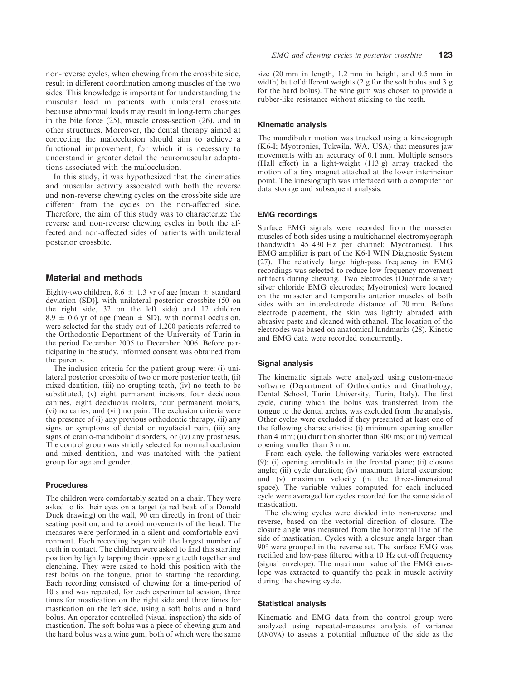non-reverse cycles, when chewing from the crossbite side, result in different coordination among muscles of the two sides. This knowledge is important for understanding the muscular load in patients with unilateral crossbite because abnormal loads may result in long-term changes in the bite force (25), muscle cross-section (26), and in other structures. Moreover, the dental therapy aimed at correcting the malocclusion should aim to achieve a functional improvement, for which it is necessary to understand in greater detail the neuromuscular adaptations associated with the malocclusion.

In this study, it was hypothesized that the kinematics and muscular activity associated with both the reverse and non-reverse chewing cycles on the crossbite side are different from the cycles on the non-affected side. Therefore, the aim of this study was to characterize the reverse and non-reverse chewing cycles in both the affected and non-affected sides of patients with unilateral posterior crossbite.

## Material and methods

Eighty-two children, 8.6  $\pm$  1.3 yr of age [mean  $\pm$  standard deviation (SD)], with unilateral posterior crossbite (50 on the right side, 32 on the left side) and 12 children  $8.9 \pm 0.6$  yr of age (mean  $\pm$  SD), with normal occlusion, were selected for the study out of 1,200 patients referred to the Orthodontic Department of the University of Turin in the period December 2005 to December 2006. Before participating in the study, informed consent was obtained from the parents.

The inclusion criteria for the patient group were: (i) unilateral posterior crossbite of two or more posterior teeth, (ii) mixed dentition, (iii) no erupting teeth, (iv) no teeth to be substituted, (v) eight permanent incisors, four deciduous canines, eight deciduous molars, four permanent molars, (vi) no caries, and (vii) no pain. The exclusion criteria were the presence of (i) any previous orthodontic therapy, (ii) any signs or symptoms of dental or myofacial pain, (iii) any signs of cranio-mandibolar disorders, or (iv) any prosthesis. The control group was strictly selected for normal occlusion and mixed dentition, and was matched with the patient group for age and gender.

#### Procedures

The children were comfortably seated on a chair. They were asked to fix their eyes on a target (a red beak of a Donald Duck drawing) on the wall, 90 cm directly in front of their seating position, and to avoid movements of the head. The measures were performed in a silent and comfortable environment. Each recording began with the largest number of teeth in contact. The children were asked to find this starting position by lightly tapping their opposing teeth together and clenching. They were asked to hold this position with the test bolus on the tongue, prior to starting the recording. Each recording consisted of chewing for a time-period of 10 s and was repeated, for each experimental session, three times for mastication on the right side and three times for mastication on the left side, using a soft bolus and a hard bolus. An operator controlled (visual inspection) the side of mastication. The soft bolus was a piece of chewing gum and the hard bolus was a wine gum, both of which were the same

size (20 mm in length, 1.2 mm in height, and 0.5 mm in width) but of different weights (2 g for the soft bolus and 3 g for the hard bolus). The wine gum was chosen to provide a rubber-like resistance without sticking to the teeth.

#### Kinematic analysis

The mandibular motion was tracked using a kinesiograph (K6-I; Myotronics, Tukwila, WA, USA) that measures jaw movements with an accuracy of 0.1 mm. Multiple sensors (Hall effect) in a light-weight (113 g) array tracked the motion of a tiny magnet attached at the lower interincisor point. The kinesiograph was interfaced with a computer for data storage and subsequent analysis.

#### EMG recordings

Surface EMG signals were recorded from the masseter muscles of both sides using a multichannel electromyograph (bandwidth 45–430 Hz per channel; Myotronics). This EMG amplifier is part of the K6-I WIN Diagnostic System (27). The relatively large high-pass frequency in EMG recordings was selected to reduce low-frequency movement artifacts during chewing. Two electrodes (Duotrode silver/ silver chloride EMG electrodes; Myotronics) were located on the masseter and temporalis anterior muscles of both sides with an interelectrode distance of 20 mm. Before electrode placement, the skin was lightly abraded with abrasive paste and cleaned with ethanol. The location of the electrodes was based on anatomical landmarks (28). Kinetic and EMG data were recorded concurrently.

#### Signal analysis

The kinematic signals were analyzed using custom-made software (Department of Orthodontics and Gnathology, Dental School, Turin University, Turin, Italy). The first cycle, during which the bolus was transferred from the tongue to the dental arches, was excluded from the analysis. Other cycles were excluded if they presented at least one of the following characteristics: (i) minimum opening smaller than 4 mm; (ii) duration shorter than 300 ms; or (iii) vertical opening smaller than 3 mm.

From each cycle, the following variables were extracted (9): (i) opening amplitude in the frontal plane; (ii) closure angle; (iii) cycle duration; (iv) maximum lateral excursion; and (v) maximum velocity (in the three-dimensional space). The variable values computed for each included cycle were averaged for cycles recorded for the same side of mastication.

The chewing cycles were divided into non-reverse and reverse, based on the vectorial direction of closure. The closure angle was measured from the horizontal line of the side of mastication. Cycles with a closure angle larger than  $90^{\circ}$  were grouped in the reverse set. The surface EMG was rectified and low-pass filtered with a 10 Hz cut-off frequency (signal envelope). The maximum value of the EMG envelope was extracted to quantify the peak in muscle activity during the chewing cycle.

#### Statistical analysis

Kinematic and EMG data from the control group were analyzed using repeated-measures analysis of variance (anova) to assess a potential influence of the side as the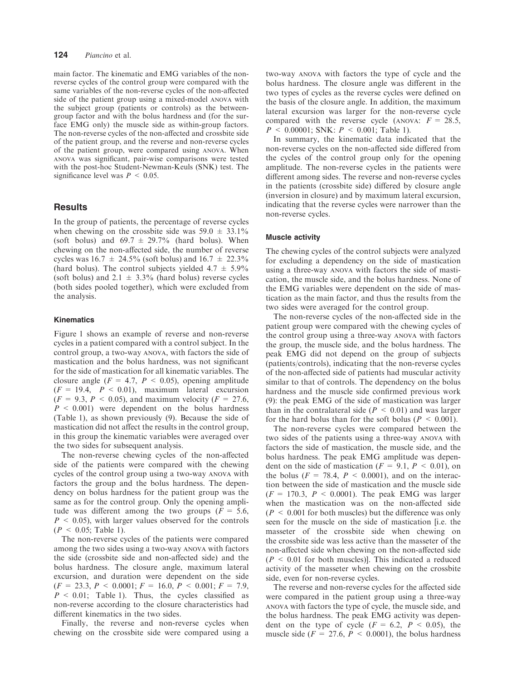## 124 *Piancino* et al.

main factor. The kinematic and EMG variables of the nonreverse cycles of the control group were compared with the same variables of the non-reverse cycles of the non-affected side of the patient group using a mixed-model anova with the subject group (patients or controls) as the betweengroup factor and with the bolus hardness and (for the surface EMG only) the muscle side as within-group factors. The non-reverse cycles of the non-affected and crossbite side of the patient group, and the reverse and non-reverse cycles of the patient group, were compared using anova. When anova was significant, pair-wise comparisons were tested with the post-hoc Student-Newman-Keuls (SNK) test. The significance level was  $P < 0.05$ .

## **Results**

In the group of patients, the percentage of reverse cycles when chewing on the crossbite side was  $59.0 \pm 33.1\%$ (soft bolus) and  $69.7 \pm 29.7\%$  (hard bolus). When chewing on the non-affected side, the number of reverse cycles was  $16.7 \pm 24.5\%$  (soft bolus) and  $16.7 \pm 22.3\%$ (hard bolus). The control subjects yielded  $4.7 \pm 5.9\%$ (soft bolus) and  $2.1 \pm 3.3\%$  (hard bolus) reverse cycles (both sides pooled together), which were excluded from the analysis.

## Kinematics

Figure 1 shows an example of reverse and non-reverse cycles in a patient compared with a control subject. In the control group, a two-way anova, with factors the side of mastication and the bolus hardness, was not significant for the side of mastication for all kinematic variables. The closure angle ( $F = 4.7$ ,  $P < 0.05$ ), opening amplitude  $(F = 19.4, P < 0.01)$ , maximum lateral excursion  $(F = 9.3, P < 0.05)$ , and maximum velocity  $(F = 27.6,$  $P \leq 0.001$ ) were dependent on the bolus hardness (Table 1), as shown previously (9). Because the side of mastication did not affect the results in the control group, in this group the kinematic variables were averaged over the two sides for subsequent analysis.

The non-reverse chewing cycles of the non-affected side of the patients were compared with the chewing cycles of the control group using a two-way anova with factors the group and the bolus hardness. The dependency on bolus hardness for the patient group was the same as for the control group. Only the opening amplitude was different among the two groups ( $F = 5.6$ ,  $P < 0.05$ ), with larger values observed for the controls  $(P < 0.05;$  Table 1).

The non-reverse cycles of the patients were compared among the two sides using a two-way anova with factors the side (crossbite side and non-affected side) and the bolus hardness. The closure angle, maximum lateral excursion, and duration were dependent on the side  $(F = 23.3, P < 0.0001; F = 16.0, P < 0.001; F = 7.9,$  $P \le 0.01$ ; Table 1). Thus, the cycles classified as non-reverse according to the closure characteristics had different kinematics in the two sides.

Finally, the reverse and non-reverse cycles when chewing on the crossbite side were compared using a two-way anova with factors the type of cycle and the bolus hardness. The closure angle was different in the two types of cycles as the reverse cycles were defined on the basis of the closure angle. In addition, the maximum lateral excursion was larger for the non-reverse cycle compared with the reverse cycle (ANOVA:  $F = 28.5$ ,  $P < 0.00001$ ; SNK:  $P < 0.001$ ; Table 1).

In summary, the kinematic data indicated that the non-reverse cycles on the non-affected side differed from the cycles of the control group only for the opening amplitude. The non-reverse cycles in the patients were different among sides. The reverse and non-reverse cycles in the patients (crossbite side) differed by closure angle (inversion in closure) and by maximum lateral excursion, indicating that the reverse cycles were narrower than the non-reverse cycles.

## Muscle activity

The chewing cycles of the control subjects were analyzed for excluding a dependency on the side of mastication using a three-way anova with factors the side of mastication, the muscle side, and the bolus hardness. None of the EMG variables were dependent on the side of mastication as the main factor, and thus the results from the two sides were averaged for the control group.

The non-reverse cycles of the non-affected side in the patient group were compared with the chewing cycles of the control group using a three-way anova with factors the group, the muscle side, and the bolus hardness. The peak EMG did not depend on the group of subjects (patients/controls), indicating that the non-reverse cycles of the non-affected side of patients had muscular activity similar to that of controls. The dependency on the bolus hardness and the muscle side confirmed previous work (9): the peak EMG of the side of mastication was larger than in the contralateral side ( $P < 0.01$ ) and was larger for the hard bolus than for the soft bolus ( $P < 0.001$ ).

The non-reverse cycles were compared between the two sides of the patients using a three-way anova with factors the side of mastication, the muscle side, and the bolus hardness. The peak EMG amplitude was dependent on the side of mastication ( $F = 9.1, P \le 0.01$ ), on the bolus ( $F = 78.4$ ,  $P < 0.0001$ ), and on the interaction between the side of mastication and the muscle side  $(F = 170.3, P < 0.0001)$ . The peak EMG was larger when the mastication was on the non-affected side  $(P < 0.001$  for both muscles) but the difference was only seen for the muscle on the side of mastication [i.e. the masseter of the crossbite side when chewing on the crossbite side was less active than the masseter of the non-affected side when chewing on the non-affected side  $(P \leq 0.01$  for both muscles)]. This indicated a reduced activity of the masseter when chewing on the crossbite side, even for non-reverse cycles.

The reverse and non-reverse cycles for the affected side were compared in the patient group using a three-way anova with factors the type of cycle, the muscle side, and the bolus hardness. The peak EMG activity was dependent on the type of cycle  $(F = 6.2, P < 0.05)$ , the muscle side ( $F = 27.6$ ,  $P < 0.0001$ ), the bolus hardness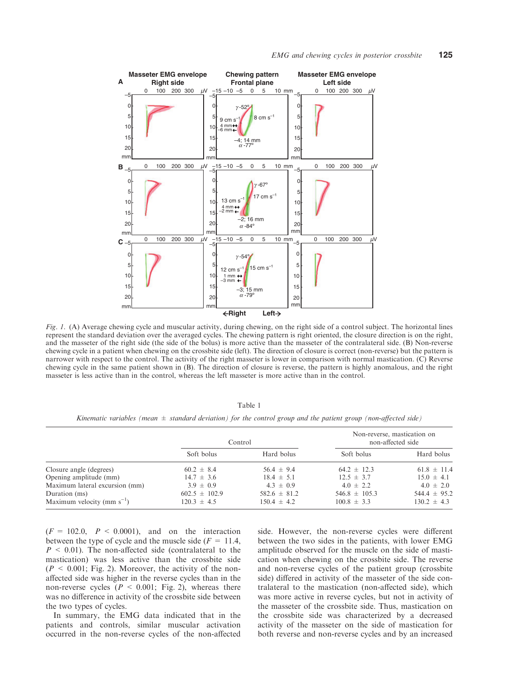

Fig. 1. (A) Average chewing cycle and muscular activity, during chewing, on the right side of a control subject. The horizontal lines represent the standard deviation over the averaged cycles. The chewing pattern is right oriented, the closure direction is on the right, and the masseter of the right side (the side of the bolus) is more active than the masseter of the contralateral side. (B) Non-reverse chewing cycle in a patient when chewing on the crossbite side (left). The direction of closure is correct (non-reverse) but the pattern is narrower with respect to the control. The activity of the right masseter is lower in comparison with normal mastication. (C) Reverse chewing cycle in the same patient shown in (B). The direction of closure is reverse, the pattern is highly anomalous, and the right masseter is less active than in the control, whereas the left masseter is more active than in the control.

Table 1 Kinematic variables (mean  $\pm$  standard deviation) for the control group and the patient group (non-affected side)

|                                 | Control           |                  | Non-reverse, mastication on<br>non-affected side |                  |
|---------------------------------|-------------------|------------------|--------------------------------------------------|------------------|
|                                 | Soft bolus        | Hard bolus       | Soft bolus                                       | Hard bolus       |
| Closure angle (degrees)         | $60.2 \pm 8.4$    | $56.4 \pm 9.4$   | $64.2 \pm 12.3$                                  | $61.8 \pm 11.4$  |
| Opening amplitude (mm)          | $14.7 \pm 3.6$    | $18.4 \pm 5.1$   | $12.5 \pm 3.7$                                   | $15.0 \pm 4.1$   |
| Maximum lateral excursion (mm)  | $3.9 \pm 0.9$     | $4.3 \pm 0.9$    | $4.0 \pm 2.2$                                    | $4.0 \pm 2.0$    |
| Duration (ms)                   | $602.5 \pm 102.9$ | $582.6 \pm 81.2$ | $546.8 \pm 105.3$                                | $544.4 \pm 95.2$ |
| Maximum velocity (mm $s^{-1}$ ) | $120.3 \pm 4.5$   | $150.4 \pm 4.2$  | $100.8 \pm 3.3$                                  | $130.2 \pm 4.3$  |

 $(F = 102.0, P < 0.0001)$ , and on the interaction between the type of cycle and the muscle side  $(F = 11.4,$  $P \leq 0.01$ ). The non-affected side (contralateral to the mastication) was less active than the crossbite side  $(P < 0.001$ ; Fig. 2). Moreover, the activity of the nonaffected side was higher in the reverse cycles than in the non-reverse cycles  $(P \le 0.001$ ; Fig. 2), whereas there was no difference in activity of the crossbite side between the two types of cycles.

In summary, the EMG data indicated that in the patients and controls, similar muscular activation occurred in the non-reverse cycles of the non-affected side. However, the non-reverse cycles were different between the two sides in the patients, with lower EMG amplitude observed for the muscle on the side of mastication when chewing on the crossbite side. The reverse and non-reverse cycles of the patient group (crossbite side) differed in activity of the masseter of the side contralateral to the mastication (non-affected side), which was more active in reverse cycles, but not in activity of the masseter of the crossbite side. Thus, mastication on the crossbite side was characterized by a decreased activity of the masseter on the side of mastication for both reverse and non-reverse cycles and by an increased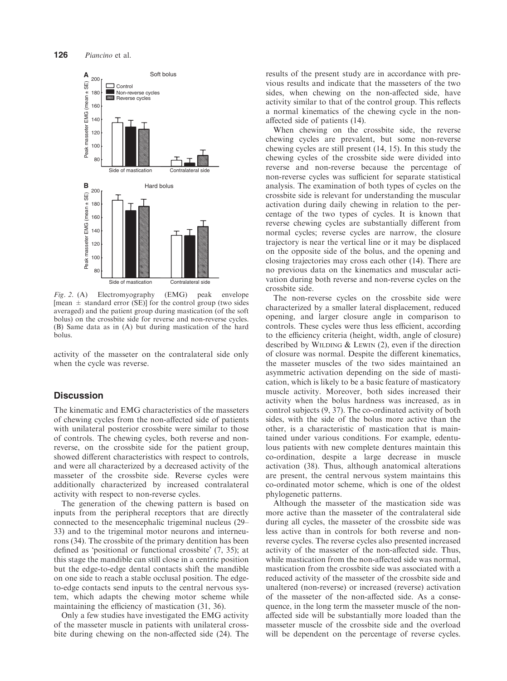

Fig. 2. (A) Electromyography (EMG) peak envelope [mean  $\pm$  standard error (SE)] for the control group (two sides averaged) and the patient group during mastication (of the soft bolus) on the crossbite side for reverse and non-reverse cycles. (B) Same data as in (A) but during mastication of the hard bolus.

activity of the masseter on the contralateral side only when the cycle was reverse.

## **Discussion**

The kinematic and EMG characteristics of the masseters of chewing cycles from the non-affected side of patients with unilateral posterior crossbite were similar to those of controls. The chewing cycles, both reverse and nonreverse, on the crossbite side for the patient group, showed different characteristics with respect to controls, and were all characterized by a decreased activity of the masseter of the crossbite side. Reverse cycles were additionally characterized by increased contralateral activity with respect to non-reverse cycles.

The generation of the chewing pattern is based on inputs from the peripheral receptors that are directly connected to the mesencephalic trigeminal nucleus (29– 33) and to the trigeminal motor neurons and interneurons (34). The crossbite of the primary dentition has been defined as 'positional or functional crossbite' (7, 35); at this stage the mandible can still close in a centric position but the edge-to-edge dental contacts shift the mandible on one side to reach a stable occlusal position. The edgeto-edge contacts send inputs to the central nervous system, which adapts the chewing motor scheme while maintaining the efficiency of mastication (31, 36).

Only a few studies have investigated the EMG activity of the masseter muscle in patients with unilateral crossbite during chewing on the non-affected side (24). The results of the present study are in accordance with previous results and indicate that the masseters of the two sides, when chewing on the non-affected side, have activity similar to that of the control group. This reflects a normal kinematics of the chewing cycle in the nonaffected side of patients (14).

When chewing on the crossbite side, the reverse chewing cycles are prevalent, but some non-reverse chewing cycles are still present (14, 15). In this study the chewing cycles of the crossbite side were divided into reverse and non-reverse because the percentage of non-reverse cycles was sufficient for separate statistical analysis. The examination of both types of cycles on the crossbite side is relevant for understanding the muscular activation during daily chewing in relation to the percentage of the two types of cycles. It is known that reverse chewing cycles are substantially different from normal cycles; reverse cycles are narrow, the closure trajectory is near the vertical line or it may be displaced on the opposite side of the bolus, and the opening and closing trajectories may cross each other (14). There are no previous data on the kinematics and muscular activation during both reverse and non-reverse cycles on the crossbite side.

The non-reverse cycles on the crossbite side were characterized by a smaller lateral displacement, reduced opening, and larger closure angle in comparison to controls. These cycles were thus less efficient, according to the efficiency criteria (height, width, angle of closure) described by WILDING  $&$  Lewin (2), even if the direction of closure was normal. Despite the different kinematics, the masseter muscles of the two sides maintained an asymmetric activation depending on the side of mastication, which is likely to be a basic feature of masticatory muscle activity. Moreover, both sides increased their activity when the bolus hardness was increased, as in control subjects (9, 37). The co-ordinated activity of both sides, with the side of the bolus more active than the other, is a characteristic of mastication that is maintained under various conditions. For example, edentulous patients with new complete dentures maintain this co-ordination, despite a large decrease in muscle activation (38). Thus, although anatomical alterations are present, the central nervous system maintains this co-ordinated motor scheme, which is one of the oldest phylogenetic patterns.

Although the masseter of the mastication side was more active than the masseter of the contralateral side during all cycles, the masseter of the crossbite side was less active than in controls for both reverse and nonreverse cycles. The reverse cycles also presented increased activity of the masseter of the non-affected side. Thus, while mastication from the non-affected side was normal, mastication from the crossbite side was associated with a reduced activity of the masseter of the crossbite side and unaltered (non-reverse) or increased (reverse) activation of the masseter of the non-affected side. As a consequence, in the long term the masseter muscle of the nonaffected side will be substantially more loaded than the masseter muscle of the crossbite side and the overload will be dependent on the percentage of reverse cycles.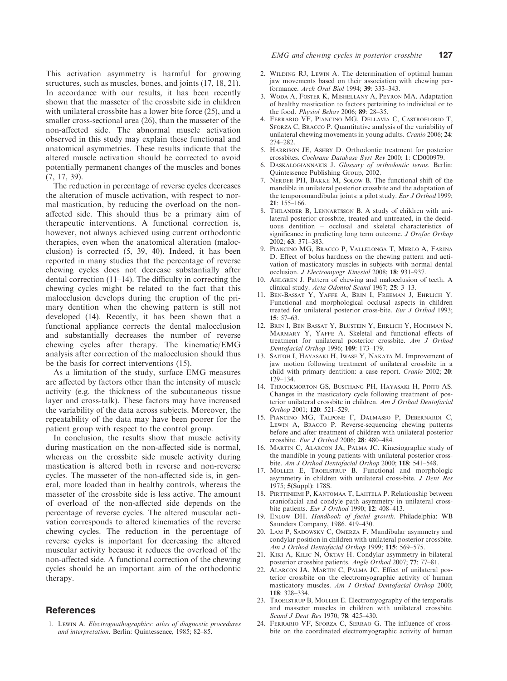This activation asymmetry is harmful for growing structures, such as muscles, bones, and joints (17, 18, 21). In accordance with our results, it has been recently shown that the masseter of the crossbite side in children with unilateral crossbite has a lower bite force (25), and a smaller cross-sectional area (26), than the masseter of the non-affected side. The abnormal muscle activation observed in this study may explain these functional and anatomical asymmetries. These results indicate that the altered muscle activation should be corrected to avoid potentially permanent changes of the muscles and bones (7, 17, 39).

The reduction in percentage of reverse cycles decreases the alteration of muscle activation, with respect to normal mastication, by reducing the overload on the nonaffected side. This should thus be a primary aim of therapeutic interventions. A functional correction is, however, not always achieved using current orthodontic therapies, even when the anatomical alteration (malocclusion) is corrected (5, 39, 40). Indeed, it has been reported in many studies that the percentage of reverse chewing cycles does not decrease substantially after dental correction (11–14). The difficulty in correcting the chewing cycles might be related to the fact that this malocclusion develops during the eruption of the primary dentition when the chewing pattern is still not developed (14). Recently, it has been shown that a functional appliance corrects the dental malocclusion and substantially decreases the number of reverse chewing cycles after therapy. The kinematic/EMG analysis after correction of the malocclusion should thus be the basis for correct interventions (15).

As a limitation of the study, surface EMG measures are affected by factors other than the intensity of muscle activity (e.g. the thickness of the subcutaneous tissue layer and cross-talk). These factors may have increased the variability of the data across subjects. Moreover, the repeatability of the data may have been poorer for the patient group with respect to the control group.

In conclusion, the results show that muscle activity during mastication on the non-affected side is normal, whereas on the crossbite side muscle activity during mastication is altered both in reverse and non-reverse cycles. The masseter of the non-affected side is, in general, more loaded than in healthy controls, whereas the masseter of the crossbite side is less active. The amount of overload of the non-affected side depends on the percentage of reverse cycles. The altered muscular activation corresponds to altered kinematics of the reverse chewing cycles. The reduction in the percentage of reverse cycles is important for decreasing the altered muscular activity because it reduces the overload of the non-affected side. A functional correction of the chewing cycles should be an important aim of the orthodontic therapy.

## **References**

1. Lewin A. Electrognathographics: atlas of diagnostic procedures and interpretation. Berlin: Quintessence, 1985; 82-85.

- 2. WILDING RJ, LEWIN A. The determination of optimal human jaw movements based on their association with chewing performance. Arch Oral Biol 1994; 39: 333–343.
- 3. Woda A, Foster K, Mishellany A, Peyron MA. Adaptation of healthy mastication to factors pertaining to individual or to the food. *Physiol Behav* 2006; **89**: 28–35.
- 4. Ferrario VF, Piancino MG, Dellavia C, Castroflorio T, Sforza C, Bracco P. Quantitative analysis of the variability of unilateral chewing movements in young adults. Cranio 2006; 24: 274–282.
- 5. Harrison JE, Ashby D. Orthodontic treatment for posterior crossbites. Cochrane Database Syst Rev 2000; 1: CD000979.
- 6. Daskalogiannakis J. Glossary of orthodontic terms. Berlin: Quintessence Publishing Group, 2002.
- 7. Nerder PH, Bakke M, Solow B. The functional shift of the mandible in unilateral posterior crossbite and the adaptation of the temporomandibular joints: a pilot study. Eur J Orthod 1999; 21: 155–166.
- 8. Thilander B, Lennartsson B. A study of children with unilateral posterior crossbite, treated and untreated, in the deciduous dentition – occlusal and skeletal characteristics of significance in predicting long term outcome. J Orofac Orthop 2002; 63: 371–383.
- 9. Piancino MG, Bracco P, Vallelonga T, Merlo A, Farina D. Effect of bolus hardness on the chewing pattern and activation of masticatory muscles in subjects with normal dental occlusion. J Electromyogr Kinesiol 2008; 18: 931–937.
- 10. Ahlgren J. Pattern of chewing and malocclusion of teeth. A clinical study. Acta Odontol Scand 1967; 25: 3-13.
- 11. Ben-Bassat Y, Yaffe A, Brin I, Freeman J, Ehrlich Y. Functional and morphological occlusal aspects in children treated for unilateral posterior cross-bite. Eur J Orthod 1993; 15: 57–63.
- 12. Brin I, Ben Bassat Y, Blustein Y, Ehrlich Y, Hochman N, Marmary Y, Yaffe A. Skeletal and functional effects of treatment for unilateral posterior crossbite. Am J Orthod Dentofacial Orthop 1996; 109: 173–179.
- 13. SAITOH I, HAYASAKI H, IWASE Y, NAKATA M. Improvement of jaw motion following treatment of unilateral crossbite in a child with primary dentition: a case report. Cranio 2002; 20: 129–134.
- 14. Throckmorton GS, Buschang PH, Hayasaki H, Pinto AS. Changes in the masticatory cycle following treatment of posterior unilateral crossbite in children. Am J Orthod Dentofacial Orthop 2001; 120: 521–529.
- 15. Piancino MG, Talpone F, Dalmasso P, Debernardi C, Lewin A, Bracco P. Reverse-sequencing chewing patterns before and after treatment of children with unilateral posterior crossbite. Eur J Orthod 2006; 28: 480–484.
- 16. Martin C, Alarcon JA, Palma JC. Kinesiographic study of the mandible in young patients with unilateral posterior crossbite. Am J Orthod Dentofacial Orthop 2000; 118: 541-548.
- 17. Moller E, Troelstrup B. Functional and morphologic asymmetry in children with unilateral cross-bite. J Dent Res 1975; 5(Suppl): 178S.
- 18. PIRTTINIEMI P, KANTOMAA T, LAHTELA P. Relationship between craniofacial and condyle path asymmetry in unilateral crossbite patients. Eur J Orthod 1990; 12: 408–413.
- 19. ENLOW DH. Handbook of facial growth. Philadelphia: WB Saunders Company, 1986. 419–430.
- 20. Lam P, Sadowsky C, Omerza F. Mandibular asymmetry and condylar position in children with unilateral posterior crossbite. Am J Orthod Dentofacial Orthop 1999; 115: 569–575.
- 21. Kiki A, Kilic N, Oktay H. Condylar asymmetry in bilateral posterior crossbite patients. Angle Orthod 2007; 77: 77–81.
- 22. Alarcon JA, Martin C, Palma JC. Effect of unilateral posterior crossbite on the electromyographic activity of human masticatory muscles. Am J Orthod Dentofacial Orthop 2000; 118: 328–334.
- 23. Troelstrup B, Moller E. Electromyography of the temporalis and masseter muscles in children with unilateral crossbite. Scand J Dent Res 1970; 78: 425–430.
- 24. Ferrario VF, Sforza C, Serrao G. The influence of crossbite on the coordinated electromyographic activity of human